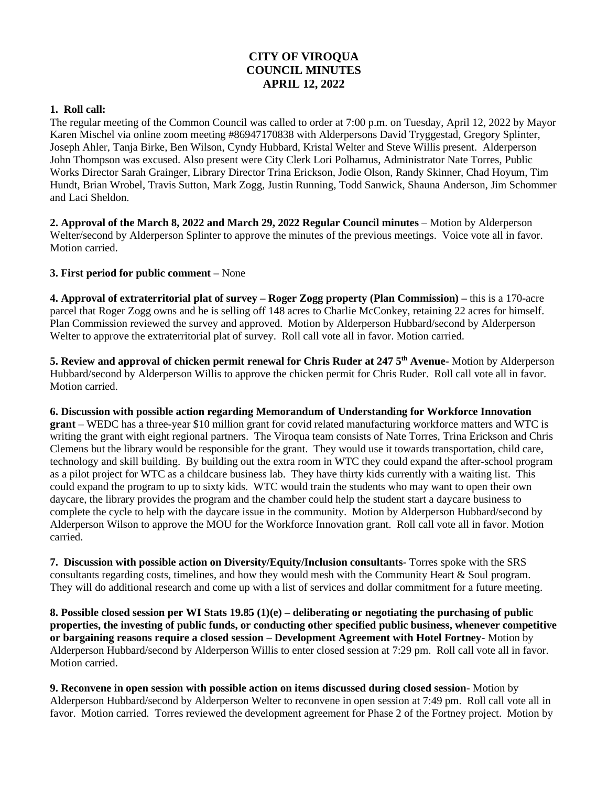## **CITY OF VIROQUA COUNCIL MINUTES APRIL 12, 2022**

## **1. Roll call:**

The regular meeting of the Common Council was called to order at 7:00 p.m. on Tuesday, April 12, 2022 by Mayor Karen Mischel via online zoom meeting #86947170838 with Alderpersons David Tryggestad, Gregory Splinter, Joseph Ahler, Tanja Birke, Ben Wilson, Cyndy Hubbard, Kristal Welter and Steve Willis present. Alderperson John Thompson was excused. Also present were City Clerk Lori Polhamus, Administrator Nate Torres, Public Works Director Sarah Grainger, Library Director Trina Erickson, Jodie Olson, Randy Skinner, Chad Hoyum, Tim Hundt, Brian Wrobel, Travis Sutton, Mark Zogg, Justin Running, Todd Sanwick, Shauna Anderson, Jim Schommer and Laci Sheldon.

**2. Approval of the March 8, 2022 and March 29, 2022 Regular Council minutes** – Motion by Alderperson Welter/second by Alderperson Splinter to approve the minutes of the previous meetings. Voice vote all in favor. Motion carried.

## **3. First period for public comment –** None

**4. Approval of extraterritorial plat of survey – Roger Zogg property (Plan Commission) –** this is a 170-acre parcel that Roger Zogg owns and he is selling off 148 acres to Charlie McConkey, retaining 22 acres for himself. Plan Commission reviewed the survey and approved. Motion by Alderperson Hubbard/second by Alderperson Welter to approve the extraterritorial plat of survey. Roll call vote all in favor. Motion carried.

**5. Review and approval of chicken permit renewal for Chris Ruder at 247 5th Avenue**- Motion by Alderperson Hubbard/second by Alderperson Willis to approve the chicken permit for Chris Ruder. Roll call vote all in favor. Motion carried.

**6. Discussion with possible action regarding Memorandum of Understanding for Workforce Innovation grant** – WEDC has a three-year \$10 million grant for covid related manufacturing workforce matters and WTC is writing the grant with eight regional partners. The Viroqua team consists of Nate Torres, Trina Erickson and Chris Clemens but the library would be responsible for the grant. They would use it towards transportation, child care, technology and skill building. By building out the extra room in WTC they could expand the after-school program as a pilot project for WTC as a childcare business lab. They have thirty kids currently with a waiting list. This could expand the program to up to sixty kids. WTC would train the students who may want to open their own daycare, the library provides the program and the chamber could help the student start a daycare business to complete the cycle to help with the daycare issue in the community. Motion by Alderperson Hubbard/second by Alderperson Wilson to approve the MOU for the Workforce Innovation grant. Roll call vote all in favor. Motion carried.

**7. Discussion with possible action on Diversity/Equity/Inclusion consultants**- Torres spoke with the SRS consultants regarding costs, timelines, and how they would mesh with the Community Heart & Soul program. They will do additional research and come up with a list of services and dollar commitment for a future meeting.

**8. Possible closed session per WI Stats 19.85 (1)(e) – deliberating or negotiating the purchasing of public properties, the investing of public funds, or conducting other specified public business, whenever competitive or bargaining reasons require a closed session – Development Agreement with Hotel Fortney**- Motion by Alderperson Hubbard/second by Alderperson Willis to enter closed session at 7:29 pm. Roll call vote all in favor. Motion carried.

**9. Reconvene in open session with possible action on items discussed during closed session**- Motion by Alderperson Hubbard/second by Alderperson Welter to reconvene in open session at 7:49 pm. Roll call vote all in favor. Motion carried. Torres reviewed the development agreement for Phase 2 of the Fortney project. Motion by